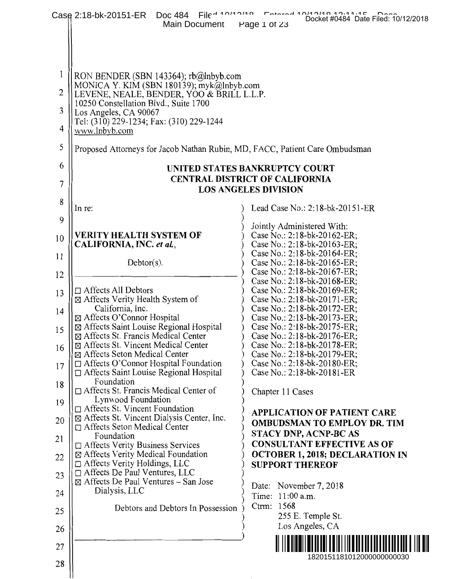|    | $File^{\lambda_{10}}$<br>Case 2:18-bk-20151-ER<br>Doc 484<br>Main Document              | Docket #0484 Date Filed: 10/12/2018<br>Page 1 of 23              |  |
|----|-----------------------------------------------------------------------------------------|------------------------------------------------------------------|--|
|    |                                                                                         |                                                                  |  |
|    |                                                                                         |                                                                  |  |
| 1  | RON BENDER (SBN 143364); $rb@lnbyb.com$                                                 |                                                                  |  |
| 2  | MONICA Y. KIM (SBN 180139); myk@lnbyb.com<br>LEVENE, NEALE, BENDER, YOO & BRILL L.L.P.  |                                                                  |  |
| 3  | 10250 Constellation Blvd., Suite 1700<br>Los Angeles, CA 90067                          |                                                                  |  |
| 4  | Tel: (310) 229-1234; Fax: (310) 229-1244<br>www.lnbyb.com                               |                                                                  |  |
| 5  | Proposed Attorneys for Jacob Nathan Rubin, MD, FACC, Patient Care Ombudsman             |                                                                  |  |
| 6  |                                                                                         | UNITED STATES BANKRUPTCY COURT                                   |  |
| 7  | <b>CENTRAL DISTRICT OF CALIFORNIA</b><br><b>LOS ANGELES DIVISION</b>                    |                                                                  |  |
| 8  | In re:                                                                                  | Lead Case No.: 2:18-bk-20151-ER                                  |  |
| 9  |                                                                                         |                                                                  |  |
| 10 | <b>VERITY HEALTH SYSTEM OF</b>                                                          | Jointly Administered With:<br>Case No.: $2:18-bk-20162-ER$ ;     |  |
| 11 | CALIFORNIA, INC. et al.,                                                                | Case No.: 2:18-bk-20163-ER;<br>Case No.: 2:18-bk-20164-ER;       |  |
| 12 | $Dektor(s)$ .                                                                           | Case No.: 2:18-bk-20165-ER;<br>Case No.: 2:18-bk-20167-ER;       |  |
|    | $\Box$ Affects All Debtors                                                              | Case No.: 2:18-bk-20168-ER;<br>Case No.: 2:18-bk-20169-ER;       |  |
| 13 | ⊠ Affects Verity Health System of                                                       | Case No.: 2:18-bk-20171-ER;                                      |  |
| 14 | California, Inc.<br>⊠ Affects O'Connor Hospital                                         | Case No.: 2:18-bk-20172-ER;<br>Case No.: 2:18-bk-20173-ER;       |  |
| 15 | ⊠ Affects Saint Louise Regional Hospital<br>⊠ Affects St. Francis Medical Center        | Case No.: $2:18-bk-20175-ER$ ;<br>Case No.: 2:18-bk-20176-ER;    |  |
| 16 | ⊠ Affects St. Vincent Medical Center                                                    | Case No.: 2:18-bk-20178-ER;                                      |  |
| 17 | ⊠ Affects Seton Medical Center<br>$\Box$ Affects O'Connor Hospital Foundation           | Case No.: 2:18-bk-20179-ER;<br>Case No.: 2:18-bk-20180-ER;       |  |
|    | $\Box$ Affects Saint Louise Regional Hospital<br>Foundation                             | Case No.: 2:18-bk-20181-ER                                       |  |
| 18 | Affects St. Francis Medical Center of<br>Lynwood Foundation                             | Chapter 11 Cases                                                 |  |
| 19 | $\Box$ Affects St. Vincent Foundation<br>⊠ Affects St. Vincent Dialysis Center, Inc.    | <b>APPLICATION OF PATIENT CARE</b>                               |  |
| 20 | □ Affects Seton Medical Center<br>Foundation                                            | <b>OMBUDSMAN TO EMPLOY DR. TIM</b><br>STACY DNP, ACNP-BC AS      |  |
| 21 | $\Box$ Affects Verity Business Services                                                 | <b>CONSULTANT EFFECTIVE AS OF</b>                                |  |
| 22 | ⊠ Affects Verity Medical Foundation<br>$\Box$ Affects Verity Holdings, LLC              | <b>OCTOBER 1, 2018; DECLARATION IN</b><br><b>SUPPORT THEREOF</b> |  |
| 23 | $\Box$ Affects De Paul Ventures, LLC<br>$\boxtimes$ Affects De Paul Ventures – San Jose |                                                                  |  |
| 24 | Dialysis, LLC                                                                           | Date: November 7, 2018<br>Time: 11:00 a.m.                       |  |
| 25 | Debtors and Debtors In Possession                                                       | Ctrm: 1568<br>255 E. Temple St.                                  |  |
| 26 |                                                                                         | Los Angeles, CA                                                  |  |
| 27 |                                                                                         |                                                                  |  |
| 28 |                                                                                         | 1820151181012000000000030                                        |  |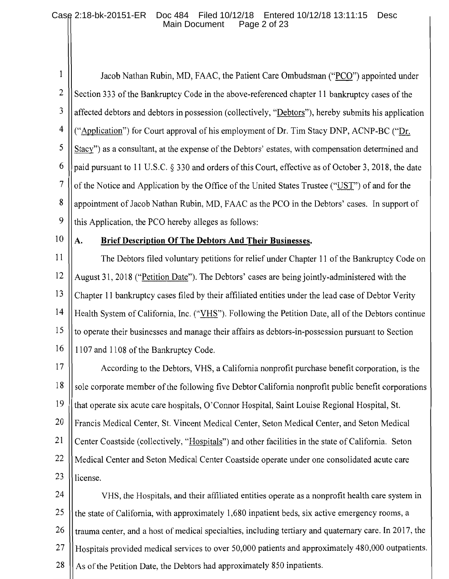#### Case 2:18-bk-20151-ER Doc 484 Filed 10/12/18 Entered 10/12/18 13:11:15 Desc Main Document Page 2 of 23

1 Jacob Nathan Rubin, MD, FAAC, the Patient Care Ombudsman ("PCO") appointed under  $\overline{2}$ Section 333 of the Bankruptcy Code in the above-referenced chapter 11 bankruptcy cases of the 3 affected debtors and debtors in possession (collectively, "Debtors"), hereby submits his application  $\overline{4}$ ("Application") for Court approval of his employment of Dr. Tim Stacy DNP, ACNP-BC ("Dr. 5 Stacy") as a consultant, at the expense of the Debtors' estates, with compensation determined and 6 paid pursuant to 11 U.S.C. § 330 and orders of this Court, effective as of October 3, 2018, the date  $\overline{7}$ of the Notice and Application by the Office of the United States Trustee ("UST") of and for the 8 appointment of Jacob Nathan Rubin, MD, FAAC as the PCO in the Debtors' cases. In support of 9 this Application, the PCO hereby alleges as follows:

10

А.

# Brief Description Of The Debtors And Their Businesses.

11 The Debtors filed voluntary petitions for relief under Chapter 11 of the Bankruptcy Code on 12 August 31, 2018 ("Petition Date"). The Debtors' cases are being jointly-administered with the 13 Chapter 11 bankruptcy cases filed by their affiliated entities under the lead case of Debtor Verity 14 Health System of California, Inc. ("VHS"). Following the Petition Date, all of the Debtors continue 15 to operate their businesses and manage their affairs as debtors-in-possession pursuant to Section 16 1107 and 1108 of the Bankruptcy Code.

 $17$ According to the Debtors, VHS, a California nonprofit purchase benefit corporation, is the 18 sole corporate member of the following five Debtor California nonprofit public benefit corporations 19 that operate six acute care hospitals, O'Connor Hospital, Saint Louise Regional Hospital, St. 20 Francis Medical Center, St. Vincent Medical Center, Seton Medical Center, and Seton Medical 21 Center Coastside (collectively, "Hospitals") and other facilities in the state of California. Seton 22 Medical Center and Seton Medical Center Coastside operate under one consolidated acute care 23 license.

24 VHS, the Hospitals, and their affiliated entities operate as a nonprofit health care system in 25 the state of California, with approximately 1,680 inpatient beds, six active emergency rooms, a trauma center, and a host of medical specialties, including tertiary and quaternary care. In 2017, the 26 Hospitals provided medical services to over 50,000 patients and approximately 480,000 outpatients. 27 28 As of the Petition Date, the Debtors had approximately 850 inpatients.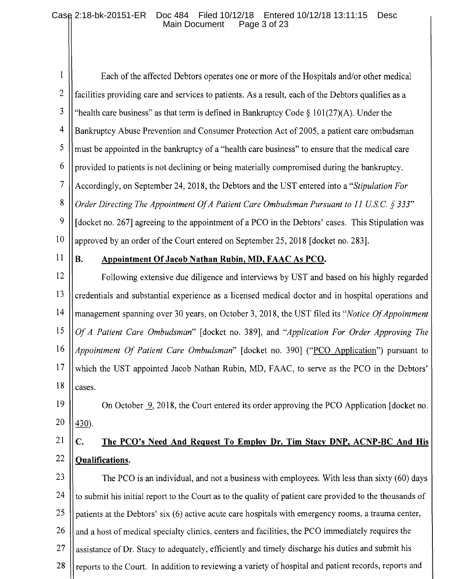#### Case 2:18-bk-20151-ER Doc 484 Filed 10/12/18 Entered 10/12/18 13:11:15 **Desc** Main Document Page 3 of 23

 $\mathbf{1}$ Each of the affected Debtors operates one or more of the Hospitals and/or other medical  $\overline{2}$ facilities providing care and services to patients. As a result, each of the Debtors qualifies as a 3 "health care business" as that term is defined in Bankruptcy Code  $\S$  101(27)(A). Under the  $\overline{4}$ Bankruptcy Abuse Prevention and Consumer Protection Act of 2005, a patient care ombudsman 5 must be appointed in the bankruptcy of a "health care business" to ensure that the medical care 6 provided to patients is not declining or being materially compromised during the bankruptcy.  $\overline{7}$ Accordingly, on September 24, 2018, the Debtors and the UST entered into a "Stipulation For" 8 Order Directing The Appointment Of A Patient Care Ombudsman Pursuant to 11 U.S.C. § 333" 9 [docket no. 267] agreeing to the appointment of a PCO in the Debtors' cases. This Stipulation was 10 approved by an order of the Court entered on September 25, 2018 [docket no. 283].

11

 $\mathbf{R}$ .

# Appointment Of Jacob Nathan Rubin, MD, FAAC As PCO.

12 Following extensive due diligence and interviews by UST and based on his highly regarded 13 credentials and substantial experience as a licensed medical doctor and in hospital operations and 14 management spanning over 30 years, on October 3, 2018, the UST filed its "Notice Of Appointment" 15 Of A Patient Care Ombudsman" [docket no. 389], and "Application For Order Approving The 16 Appointment Of Patient Care Ombudsman" [docket no. 390] ("PCO Application") pursuant to 17 which the UST appointed Jacob Nathan Rubin, MD, FAAC, to serve as the PCO in the Debtors' 18 cases.

#### 19 On October  $\mathcal{Q}$ , 2018, the Court entered its order approving the PCO Application [docket no. 20  $430$ ).

#### 21  $C_{\bullet}$ The PCO's Need And Request To Employ Dr. Tim Stacy DNP, ACNP-BC And His 22 **Qualifications.**

23 The PCO is an individual, and not a business with employees. With less than sixty (60) days 24 to submit his initial report to the Court as to the quality of patient care provided to the thousands of 25 patients at the Debtors' six (6) active acute care hospitals with emergency rooms, a trauma center, 26 and a host of medical specialty clinics, centers and facilities, the PCO immediately requires the 27 assistance of Dr. Stacy to adequately, efficiently and timely discharge his duties and submit his reports to the Court. In addition to reviewing a variety of hospital and patient records, reports and 28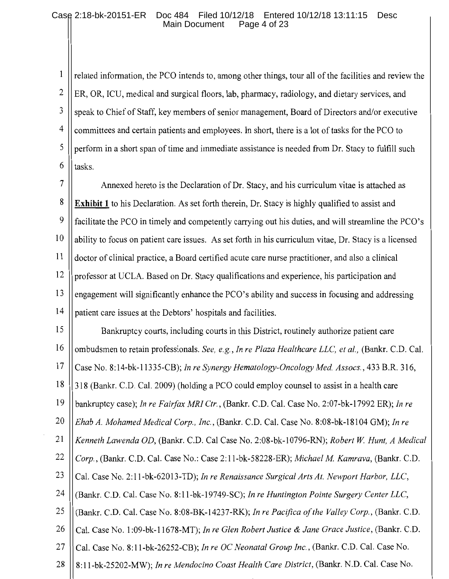## Case 2:18-bk-20151-ER Doc 484 Filed 10/12/18 Entered 10/12/18 13:11:15 Desc<br>Main Document Page 4 of 23 Main Document

1 related information, the PCO intends to, among other things, tour all of the facilities and review the  $\overline{2}$ ER, OR, ICU, medical and surgical floors, lab, pharmacy, radiology, and dietary services, and  $\overline{3}$ speak to Chief of Staff, key members of senior management, Board of Directors and/or executive  $\overline{4}$ committees and certain patients and employees. In short, there is a lot of tasks for the PCO to 5 perform in a short span of time and immediate assistance is needed from Dr. Stacy to fulfill such 6 tasks.

 $\overline{7}$ Annexed hereto is the Declaration of Dr. Stacy, and his curriculum vitae is attached as 8 **Exhibit 1** to his Declaration. As set forth therein, Dr. Stacy is highly qualified to assist and 9 facilitate the PCO in timely and competently carrying out his duties, and will streamline the PCO's 10 ability to focus on patient care issues. As set forth in his curriculum vitae, Dr. Stacy is a licensed 11 doctor of clinical practice, a Board certified acute care nurse practitioner, and also a clinical 12 professor at UCLA. Based on Dr. Stacy qualifications and experience, his participation and 13 engagement will significantly enhance the PCO's ability and success in focusing and addressing  $14$ patient care issues at the Debtors' hospitals and facilities.

15 Bankruptcy courts, including courts in this District, routinely authorize patient care 16 ombudsmen to retain professionals. See, e.g., In re Plaza Healthcare LLC, et al., (Bankr. C.D. Cal. 17 Case No. 8:14-bk-11335-CB); In re Synergy Hematology-Oncology Med. Assocs., 433 B.R. 316, 18 318 (Bankr. C.D. Cal. 2009) (holding a PCO could employ counsel to assist in a health care 19 bankruptcy case); In re Fairfax MRI Ctr., (Bankr. C.D. Cal. Case No. 2:07-bk-17992 ER); In re 20 Ehab A. Mohamed Medical Corp., Inc., (Bankr. C.D. Cal. Case No. 8:08-bk-18104 GM); In re 21 Kenneth Lawenda OD, (Bankr. C.D. Cal Case No. 2:08-bk-10796-RN); Robert W. Hunt, A Medical 22 Corp., (Bankr. C.D. Cal. Case No.: Case 2:11-bk-58228-ER); Michael M. Kamrava, (Bankr. C.D. 23 Cal. Case No. 2:11-bk-62013-TD); In re Renaissance Surgical Arts At. Newport Harbor, LLC, 24 (Bankr. C.D. Cal. Case No. 8:11-bk-19749-SC); In re Huntington Pointe Surgery Center LLC, 25 (Bankr. C.D. Cal. Case No. 8:08-BK-14237-RK); In re Pacifica of the Valley Corp., (Bankr. C.D. 26 Cal. Case No. 1:09-bk-11678-MT); In re Glen Robert Justice & Jane Grace Justice, (Bankr. C.D. Cal. Case No. 8:11-bk-26252-CB); In re OC Neonatal Group Inc., (Bankr. C.D. Cal. Case No. 27 8:11-bk-25202-MW); In re Mendocino Coast Health Care District, (Bankr. N.D. Cal. Case No. 28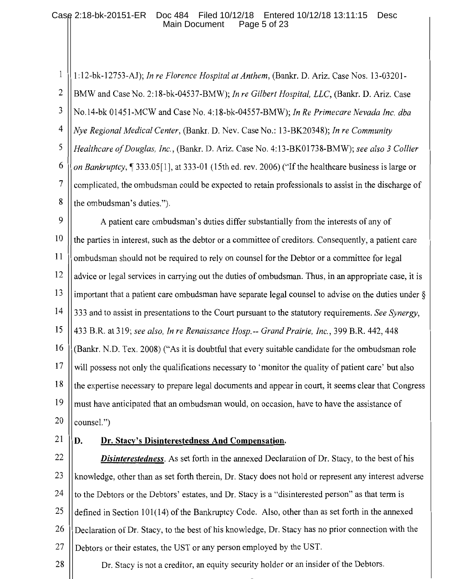#### Case 2:18-bk-20151-ER Doc 484 Filed 10/12/18 Entered 10/12/18 13:11:15 Desc Main Document Page 5 of 23

 $\mathbf{1}$ 1:12-bk-12753-AJ); In re Florence Hospital at Anthem, (Bankr. D. Ariz. Case Nos. 13-03201- $\overline{2}$ BMW and Case No. 2:18-bk-04537-BMW); In re Gilbert Hospital, LLC, (Bankr. D. Ariz. Case 3 No.14-bk 01451-MCW and Case No. 4:18-bk-04557-BMW); In Re Primecare Nevada Inc. dba  $\overline{4}$ Nye Regional Medical Center, (Bankr. D. Nev. Case No.: 13-BK20348); In re Community 5 Healthcare of Douglas, Inc., (Bankr. D. Ariz. Case No. 4:13-BK01738-BMW); see also 3 Collier 6 on Bankruptcy, 1 333.05 [1], at 333-01 (15th ed. rev. 2006) ("If the healthcare business is large or 7 complicated, the ombudsman could be expected to retain professionals to assist in the discharge of 8 the ombudsman's duties.").

9 A patient care ombudsman's duties differ substantially from the interests of any of 10 the parties in interest, such as the debtor or a committee of creditors. Consequently, a patient care 11 ombudsman should not be required to rely on counsel for the Debtor or a committee for legal 12 advice or legal services in carrying out the duties of ombudsman. Thus, in an appropriate case, it is 13 important that a patient care ombudsman have separate legal counsel to advise on the duties under  $\delta$ 14 333 and to assist in presentations to the Court pursuant to the statutory requirements. See Synergy, 15 433 B.R. at 319; see also, In re Renaissance Hosp.-- Grand Prairie, Inc., 399 B.R. 442, 448 16 (Bankr, N.D. Tex. 2008) ("As it is doubtful that every suitable candidate for the ombudsman role 17 will possess not only the qualifications necessary to 'monitor the quality of patient care' but also 18 the expertise necessary to prepare legal documents and appear in court, it seems clear that Congress 19 must have anticipated that an ombudsman would, on occasion, have to have the assistance of 20 counsel.")

21

#### D. Dr. Stacy's Disinterestedness And Compensation.

22 **Disinterestedness**. As set forth in the annexed Declaration of Dr. Stacy, to the best of his 23 knowledge, other than as set forth therein, Dr. Stacy does not hold or represent any interest adverse 24 to the Debtors or the Debtors' estates, and Dr. Stacy is a "disinterested person" as that term is 25 defined in Section 101(14) of the Bankruptcy Code. Also, other than as set forth in the annexed 26 Declaration of Dr. Stacy, to the best of his knowledge, Dr. Stacy has no prior connection with the 27 Debtors or their estates, the UST or any person employed by the UST. 28

Dr. Stacy is not a creditor, an equity security holder or an insider of the Debtors.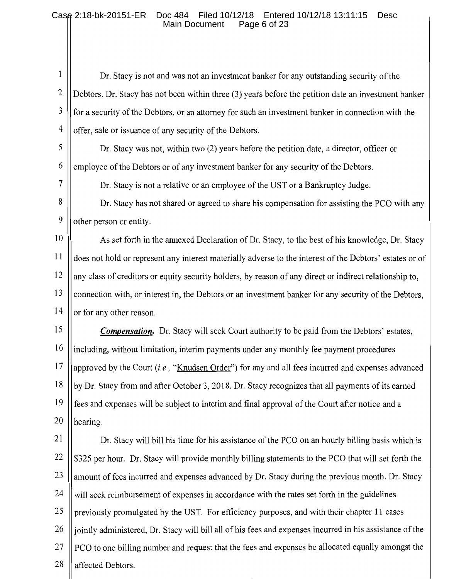#### Case 2:18-bk-20151-ER Doc 484 Filed 10/12/18 Entered 10/12/18 13:11:15 Desc **Main Document** Page 6 of 23

 $\mathbf{1}$ Dr. Stacy is not and was not an investment banker for any outstanding security of the  $\overline{2}$ Debtors. Dr. Stacy has not been within three (3) years before the petition date an investment banker 3 for a security of the Debtors, or an attorney for such an investment banker in connection with the  $\overline{4}$ offer, sale or issuance of any security of the Debtors.

5 Dr. Stacy was not, within two (2) years before the petition date, a director, officer or 6 employee of the Debtors or of any investment banker for any security of the Debtors.

7

Dr. Stacy is not a relative or an employee of the UST or a Bankruptcy Judge.

8 Dr. Stacy has not shared or agreed to share his compensation for assisting the PCO with any 9 other person or entity.

10 As set forth in the annexed Declaration of Dr. Stacy, to the best of his knowledge, Dr. Stacy  $11$ does not hold or represent any interest materially adverse to the interest of the Debtors' estates or of 12 any class of creditors or equity security holders, by reason of any direct or indirect relationship to, 13 connection with, or interest in, the Debtors or an investment banker for any security of the Debtors, 14 or for any other reason.

15 **Compensation.** Dr. Stacy will seek Court authority to be paid from the Debtors' estates, 16 including, without limitation, interim payments under any monthly fee payment procedures 17 approved by the Court *(i.e.,* "Knudsen Order") for any and all fees incurred and expenses advanced 18 by Dr. Stacy from and after October 3, 2018. Dr. Stacy recognizes that all payments of its earned 19 fees and expenses will be subject to interim and final approval of the Court after notice and a 20 hearing.

21 Dr. Stacy will bill his time for his assistance of the PCO on an hourly billing basis which is 22 \$325 per hour. Dr. Stacy will provide monthly billing statements to the PCO that will set forth the 23 amount of fees incurred and expenses advanced by Dr. Stacy during the previous month. Dr. Stacy 24 will seek reimbursement of expenses in accordance with the rates set forth in the guidelines 25 previously promulgated by the UST. For efficiency purposes, and with their chapter 11 cases jointly administered, Dr. Stacy will bill all of his fees and expenses incurred in his assistance of the 26 27 PCO to one billing number and request that the fees and expenses be allocated equally amongst the 28 affected Debtors.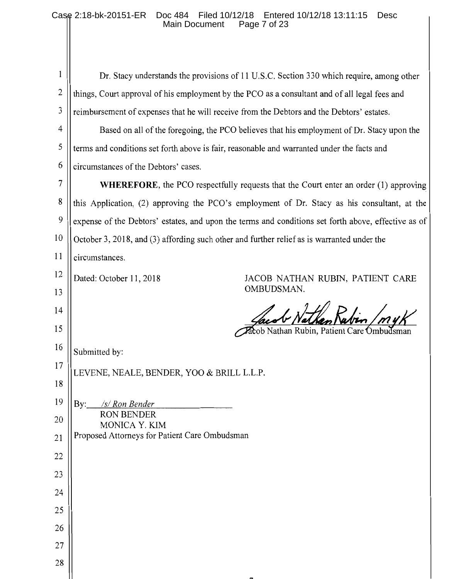## Case 2:18-bk-20151-ER Doc 484 Filed 10/12/18 Entered 10/12/18 13:11:15 Desc Main Document Page 7 of 23

| $\mathbf{1}$    | Dr. Stacy understands the provisions of 11 U.S.C. Section 330 which require, among other            |
|-----------------|-----------------------------------------------------------------------------------------------------|
| $\mathbf{2}$    | things, Court approval of his employment by the PCO as a consultant and of all legal fees and       |
| 3               | reimbursement of expenses that he will receive from the Debtors and the Debtors' estates.           |
| $\overline{4}$  | Based on all of the foregoing, the PCO believes that his employment of Dr. Stacy upon the           |
| 5               | terms and conditions set forth above is fair, reasonable and warranted under the facts and          |
| 6               | circumstances of the Debtors' cases.                                                                |
| 7               | <b>WHEREFORE</b> , the PCO respectfully requests that the Court enter an order (1) approving        |
| 8               | this Application, (2) approving the PCO's employment of Dr. Stacy as his consultant, at the         |
| 9               | expense of the Debtors' estates, and upon the terms and conditions set forth above, effective as of |
| 10              | October 3, 2018, and (3) affording such other and further relief as is warranted under the          |
| 11              | circumstances.                                                                                      |
| 12              | Dated: October 11, 2018<br>JACOB NATHAN RUBIN, PATIENT CARE                                         |
| 13              | OMBUDSMAN.                                                                                          |
| 14              |                                                                                                     |
| 15              | Nathan Rubin, Patient Care <b>O</b> mbu                                                             |
| 16              | Submitted by:                                                                                       |
| 17              | LEVENE, NEALE, BENDER, YOO & BRILL L.L.P.                                                           |
| 18              |                                                                                                     |
| 19              | /s/ Ron Bender<br>By:                                                                               |
| 20              | <b>RON BENDER</b><br>MONICA Y. KIM                                                                  |
| $\overline{21}$ | Proposed Attorneys for Patient Care Ombudsman                                                       |
| 22              |                                                                                                     |
| 23              |                                                                                                     |
| 24              |                                                                                                     |
| 25              |                                                                                                     |
| 26              |                                                                                                     |
| 27              |                                                                                                     |
| 28              |                                                                                                     |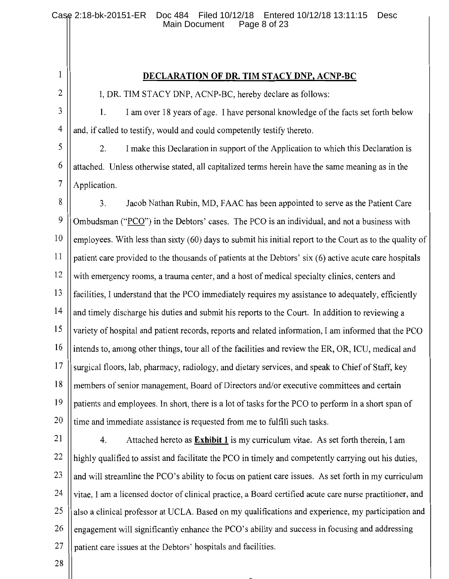$\mathbf{1}$ 

# DECLARATION OF DR. TIM STACY DNP, ACNP-BC

 $\overline{2}$ 

I, DR. TIM STACY DNP, ACNP-BC, hereby declare as follows:

3 I am over 18 years of age. I have personal knowledge of the facts set forth below 1.  $\overline{4}$ and, if called to testify, would and could competently testify thereto.

5 2. I make this Declaration in support of the Application to which this Declaration is 6 attached. Unless otherwise stated, all capitalized terms herein have the same meaning as in the  $\overline{7}$ Application.

8  $3<sub>1</sub>$ Jacob Nathan Rubin, MD, FAAC has been appointed to serve as the Patient Care 9 Ombudsman ("PCO") in the Debtors' cases. The PCO is an individual, and not a business with 10 employees. With less than sixty (60) days to submit his initial report to the Court as to the quality of 11 patient care provided to the thousands of patients at the Debtors' six (6) active acute care hospitals 12 with emergency rooms, a trauma center, and a host of medical specialty clinics, centers and 13 facilities. I understand that the PCO immediately requires my assistance to adequately, efficiently 14 and timely discharge his duties and submit his reports to the Court. In addition to reviewing a 15 variety of hospital and patient records, reports and related information, I am informed that the PCO 16 intends to, among other things, tour all of the facilities and review the ER, OR, ICU, medical and 17 surgical floors, lab, pharmacy, radiology, and dietary services, and speak to Chief of Staff, key 18 members of senior management, Board of Directors and/or executive committees and certain 19 patients and employees. In short, there is a lot of tasks for the PCO to perform in a short span of 20 time and immediate assistance is requested from me to fulfill such tasks.

21

22

 $\overline{4}$ . Attached hereto as **Exhibit 1** is my curriculum vitae. As set forth therein, I am highly qualified to assist and facilitate the PCO in timely and competently carrying out his duties, 23 and will streamline the PCO's ability to focus on patient care issues. As set forth in my curriculum 24 vitae, I am a licensed doctor of clinical practice, a Board certified acute care nurse practitioner, and 25 also a clinical professor at UCLA. Based on my qualifications and experience, my participation and 26 engagement will significantly enhance the PCO's ability and success in focusing and addressing 27 patient care issues at the Debtors' hospitals and facilities.

28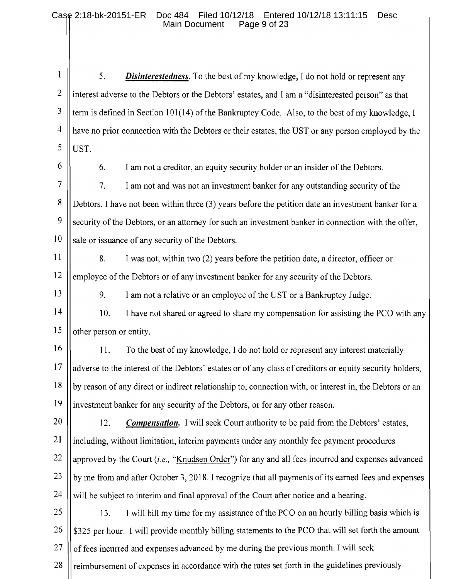$\mathbf{1}$ 5. **Disinterestedness**. To the best of my knowledge, I do not hold or represent any  $\overline{2}$ interest adverse to the Debtors or the Debtors' estates, and I am a "disinterested person" as that 3 term is defined in Section 101(14) of the Bankruptcy Code. Also, to the best of my knowledge, I  $\overline{4}$ have no prior connection with the Debtors or their estates, the UST or any person employed by the 5 UST.

6

6.

I am not a creditor, an equity security holder or an insider of the Debtors.

 $\overline{7}$  $7<sub>1</sub>$ I am not and was not an investment banker for any outstanding security of the 8 Debtors. I have not been within three (3) years before the petition date an investment banker for a 9 security of the Debtors, or an attorney for such an investment banker in connection with the offer, 10 sale or issuance of any security of the Debtors.

- $11$ 8. I was not, within two (2) years before the petition date, a director, officer or 12 employee of the Debtors or of any investment banker for any security of the Debtors.
- 13

9. I am not a relative or an employee of the UST or a Bankruptcy Judge.

 $14$ 10. I have not shared or agreed to share my compensation for assisting the PCO with any 15 other person or entity.

16 11. To the best of my knowledge, I do not hold or represent any interest materially  $17$ adverse to the interest of the Debtors' estates or of any class of creditors or equity security holders, 18 by reason of any direct or indirect relationship to, connection with, or interest in, the Debtors or an 19 investment banker for any security of the Debtors, or for any other reason.

20 12. **Compensation.** I will seek Court authority to be paid from the Debtors' estates, 21 including, without limitation, interim payments under any monthly fee payment procedures 22 approved by the Court *(i.e.,* "Knudsen Order") for any and all fees incurred and expenses advanced 23 by me from and after October 3, 2018. I recognize that all payments of its earned fees and expenses 24 will be subject to interim and final approval of the Court after notice and a hearing.

25 13. I will bill my time for my assistance of the PCO on an hourly billing basis which is 26 \$325 per hour. I will provide monthly billing statements to the PCO that will set forth the amount 27 of fees incurred and expenses advanced by me during the previous month. I will seek

28 reimbursement of expenses in accordance with the rates set forth in the guidelines previously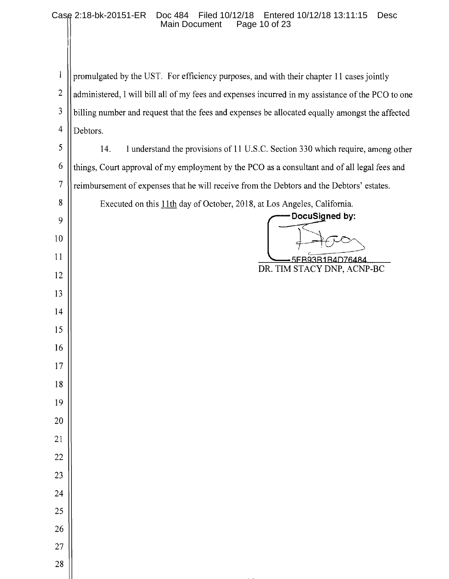### Case 2:18-bk-20151-ER Doc 484 Filed 10/12/18 Entered 10/12/18 13:11:15 Desc Main Document

 $\mathbf{1}$ promulgated by the UST. For efficiency purposes, and with their chapter 11 cases jointly  $\mathbf{2}$ administered, I will bill all of my fees and expenses incurred in my assistance of the PCO to one 3 billing number and request that the fees and expenses be allocated equally amongst the affected  $\overline{\mathcal{A}}$ Debtors. 5 14. I understand the provisions of 11 U.S.C. Section 330 which require, among other 6 things, Court approval of my employment by the PCO as a consultant and of all legal fees and  $\tau$ reimbursement of expenses that he will receive from the Debtors and the Debtors' estates. 8 Executed on this 11th day of October, 2018, at Los Angeles, California. DocuSigned by: 9

10

 $11$ 

12

13

 $14$ 

15

16

 $17$ 

18

19

20

21

22

23

24

25

26

27

28

5FB93B1B4D76484 DR. TIM STACY DNP, ACNP-BC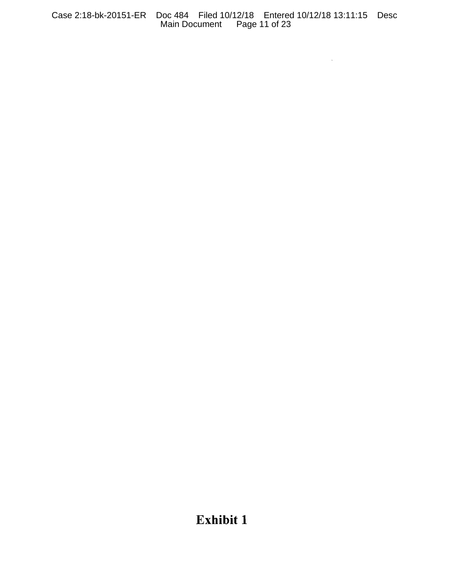Case 2:18-bk-20151-ER Doc 484 Filed 10/12/18 Entered 10/12/18 13:11:15 Desc Main Document Page 11 of 23

 $\mathcal{L}^{\text{max}}_{\text{max}}$  , where  $\mathcal{L}^{\text{max}}_{\text{max}}$ 

# Exhibit 1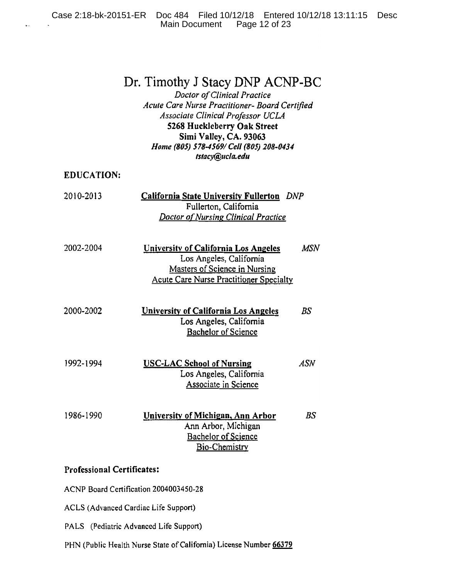# Dr. Timothy J Stacy DNP ACNP-BC

Doctor of Clinical Practice Acute Care Nurse Practitioner- Board Certified Associate Clinical Professor UCLA 5268 Huckleberry Oak Street Simi Valley, CA. 93063 Home (805) 578-4569/ Cell (805) 208-0434 tstacy@ucla.edu

**EDUCATION:** 

| 2010-2013<br><b>California State University Fullerton</b> DNF |                                            |  |
|---------------------------------------------------------------|--------------------------------------------|--|
|                                                               | Fullerton, California                      |  |
|                                                               | <b>Doctor of Nursing Clinical Practice</b> |  |

- 2002-2004 University of California Los Angeles **MSN** Los Angeles, California Masters of Science in Nursing **Acute Care Nurse Practitioner Specialty**
- 2000-2002  $BS$ **University of California Los Angeles** Los Angeles, California **Bachelor of Science**
- **USC-LAC School of Nursing** 1992-1994 **ASN** Los Angeles, California Associate in Science
- 1986-1990 University of Michigan, Ann Arbor  $BS$ Ann Arbor, Michigan **Bachelor of Science Bio-Chemistry**

### **Professional Certificates:**

ACNP Board Certification 2004003450-28

ACLS (Advanced Cardiac Life Support)

PALS (Pediatric Advanced Life Support)

PHN (Public Health Nurse State of California) License Number 66379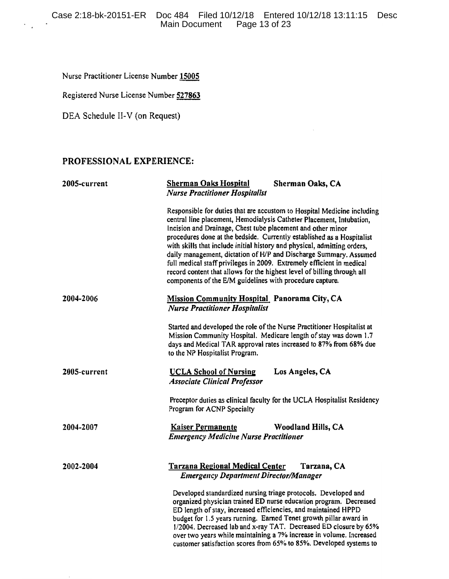Nurse Practitioner License Number 15005

Registered Nurse License Number 527863

DEA Schedule II-V (on Request)

# PROFESSIONAL EXPERIENCE:

| 2005-current | <b>Sherman Oaks Hospital</b><br>Sherman Oaks, CA<br><b>Nurse Practitioner Hospitalist</b>                                                                                                                                                                                                                                                                                                                                                                                                                                                                                                                                                                 |  |
|--------------|-----------------------------------------------------------------------------------------------------------------------------------------------------------------------------------------------------------------------------------------------------------------------------------------------------------------------------------------------------------------------------------------------------------------------------------------------------------------------------------------------------------------------------------------------------------------------------------------------------------------------------------------------------------|--|
|              | Responsible for duties that are accustom to Hospital Medicine including<br>central line placement, Hemodialysis Catheter Placement, Intubation,<br>Incision and Drainage, Chest tube placement and other minor<br>procedures done at the bedside. Currently established as a Hospitalist<br>with skills that include initial history and physical, admitting orders,<br>daily management, dictation of H/P and Discharge Summary. Assumed<br>full medical staff privileges in 2009. Extremely efficient in medical<br>record content that allows for the highest level of billing through all<br>components of the E/M guidelines with procedure capture. |  |
| 2004-2006    | Mission Community Hospital Panorama City, CA<br><b>Nurse Practitioner Hospitalist</b>                                                                                                                                                                                                                                                                                                                                                                                                                                                                                                                                                                     |  |
|              | Started and developed the role of the Nurse Practitioner Hospitalist at<br>Mission Community Hospital. Medicare length of stay was down 1.7<br>days and Medical TAR approval rates increased to 87% from 68% due<br>to the NP Hospitalist Program.                                                                                                                                                                                                                                                                                                                                                                                                        |  |
| 2005-current | Los Angeles, CA<br><b>UCLA School of Nursing</b><br><b>Associate Clinical Professor</b>                                                                                                                                                                                                                                                                                                                                                                                                                                                                                                                                                                   |  |
|              | Preceptor duties as clinical faculty for the UCLA Hospitalist Residency<br>Program for ACNP Specialty                                                                                                                                                                                                                                                                                                                                                                                                                                                                                                                                                     |  |
| 2004-2007    | <b>Woodland Hills, CA</b><br><b>Kaiser Permanente</b><br><b>Emergency Medicine Nurse Practitioner</b>                                                                                                                                                                                                                                                                                                                                                                                                                                                                                                                                                     |  |
| 2002-2004    | Tarzana, CA<br><b>Tarzana Regional Medical Center</b><br><b>Emergency Department Director/Manager</b>                                                                                                                                                                                                                                                                                                                                                                                                                                                                                                                                                     |  |
|              | Developed standardized nursing triage protocols. Developed and<br>organized physician trained ED nurse education program. Decreased<br>ED length of stay, increased efficiencies, and maintained HPPD<br>budget for 1.5 years running. Earned Tenet growth pillar award in<br>1/2004. Decreased lab and x-ray TAT. Decreased ED closure by 65%<br>over two years while maintaining a 7% increase in volume. Increased<br>customer satisfaction scores from 65% to 85%. Developed systems to                                                                                                                                                               |  |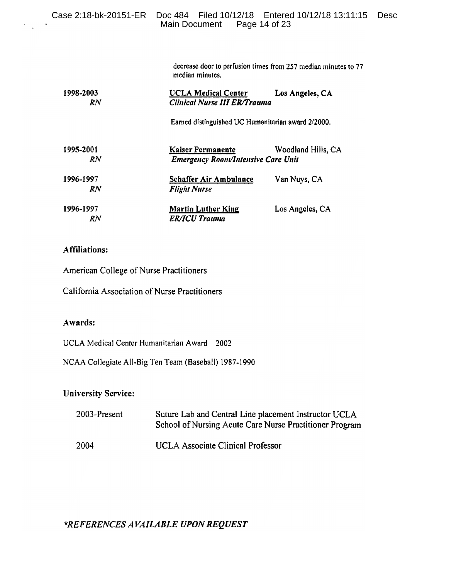|                        | Case 2:18-bk-20151-ER Doc 484 Filed 10/12/18 Entered 10/12/18 13:11:15<br>Page 14 of 23<br>Main Document |                                                                                   | Desc |
|------------------------|----------------------------------------------------------------------------------------------------------|-----------------------------------------------------------------------------------|------|
| 1998-2003<br>RN        | median minutes.<br><b>UCLA Medical Center</b><br><b>Clinical Nurse III ER/Trauma</b>                     | decrease door to perfusion times from 257 median minutes to 77<br>Los Angeles, CA |      |
|                        | Earned distinguished UC Humanitarian award 2/2000.                                                       |                                                                                   |      |
| 1995-2001<br><b>RN</b> | <b>Kaiser Permanente</b><br><b>Emergency Room/Intensive Care Unit</b>                                    | Woodland Hills, CA                                                                |      |
| 1996-1997<br>RN        | <b>Schaffer Air Ambulance</b><br><b>Flight Nurse</b>                                                     | Van Nuys, CA                                                                      |      |
| 1996-1997<br>RN.       | <b>Martin Luther King</b><br><b>ER/ICU Trauma</b>                                                        | Los Angeles, CA                                                                   |      |

# **Affiliations:**

 $\sim$   $\sim$ 

American College of Nurse Practitioners

California Association of Nurse Practitioners

# Awards:

UCLA Medical Center Humanitarian Award 2002

NCAA Collegiate All-Big Ten Team (Baseball) 1987-1990

**University Service:** 

| 2003-Present | Suture Lab and Central Line placement Instructor UCLA<br>School of Nursing Acute Care Nurse Practitioner Program |
|--------------|------------------------------------------------------------------------------------------------------------------|
| 2004         | UCLA Associate Clinical Professor                                                                                |

\*REFERENCES AVAILABLE UPON REQUEST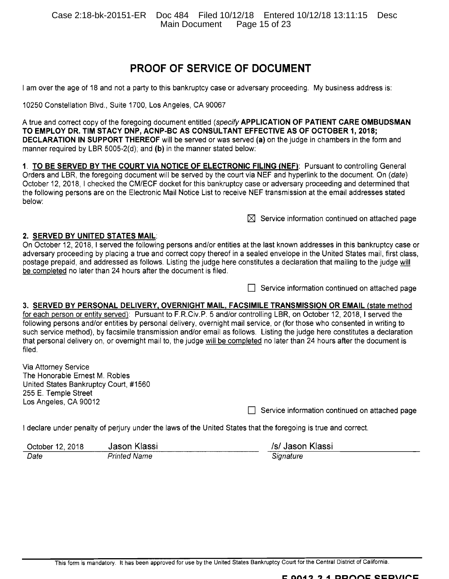Case 2:18-bk-20151-ER Doc 484 Filed 10/12/18 Entered 10/12/18 13:11:15 Desc Main Document Page 15 of 23

# **PROOF OF SERVICE OF DOCUMENT**

I am over the age of 18 and not a party to this bankruptcy case or adversary proceeding. My business address is:

10250 Constellation Blvd., Suite 1700, Los Angeles, CA 90067

A true and correct copy of the foregoing document entitled (specify APPLICATION OF PATIENT CARE OMBUDSMAN TO EMPLOY DR. TIM STACY DNP, ACNP-BC AS CONSULTANT EFFECTIVE AS OF OCTOBER 1, 2018; **DECLARATION IN SUPPORT THEREOF** will be served or was served (a) on the judge in chambers in the form and manner required by LBR 5005-2(d); and (b) in the manner stated below:

1. TO BE SERVED BY THE COURT VIA NOTICE OF ELECTRONIC FILING (NEF): Pursuant to controlling General Orders and LBR, the foregoing document will be served by the court via NEF and hyperlink to the document. On (date) October 12, 2018. I checked the CM/ECF docket for this bankruptcy case or adversary proceeding and determined that the following persons are on the Electronic Mail Notice List to receive NEF transmission at the email addresses stated below:

 $\boxtimes$  Service information continued on attached page

#### 2. SERVED BY UNITED STATES MAIL.

On October 12, 2018, I served the following persons and/or entities at the last known addresses in this bankruptcy case or adversary proceeding by placing a true and correct copy thereof in a sealed envelope in the United States mail, first class, postage prepaid, and addressed as follows. Listing the judge here constitutes a declaration that mailing to the judge will be completed no later than 24 hours after the document is filed.

 $\Box$  Service information continued on attached page

#### 3. SERVED BY PERSONAL DELIVERY, OVERNIGHT MAIL, FACSIMILE TRANSMISSION OR EMAIL (state method

for each person or entity served): Pursuant to F.R.Civ.P. 5 and/or controlling LBR, on October 12, 2018, I served the following persons and/or entities by personal delivery, overnight mail service, or (for those who consented in writing to such service method), by facsimile transmission and/or email as follows. Listing the judge here constitutes a declaration that personal delivery on, or overnight mail to, the judge will be completed no later than 24 hours after the document is filed.

Via Attorney Service The Honorable Ernest M. Robles United States Bankruptcy Court, #1560 255 E. Temple Street Los Angeles, CA 90012

 $\Box$  Service information continued on attached page

I declare under penalty of perjury under the laws of the United States that the foregoing is true and correct.

| October 12, 2018 | Jason Klassi             | /s/ Jason Klassi |
|------------------|--------------------------|------------------|
| Date             | <sup>D</sup> rinted Name | Signature        |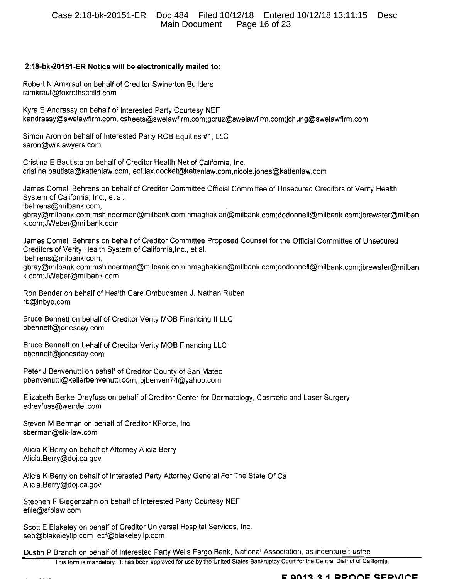### 2:18-bk-20151-ER Notice will be electronically mailed to:

Robert N Amkraut on behalf of Creditor Swinerton Builders ramkraut@foxrothschild.com

Kyra E Andrassy on behalf of Interested Party Courtesy NEF kandrassy@swelawfirm.com, csheets@swelawfirm.com;gcruz@swelawfirm.com;jchung@swelawfirm.com

Simon Aron on behalf of Interested Party RCB Equities #1, LLC saron@wrslawyers.com

Cristina E Bautista on behalf of Creditor Health Net of California. Inc. cristina.bautista@kattenlaw.com, ecf.lax.docket@kattenlaw.com,nicole.jones@kattenlaw.com

James Cornell Behrens on behalf of Creditor Committee Official Committee of Unsecured Creditors of Verity Health System of California, Inc., et al. jbehrens@milbank.com, gbray@milbank.com;mshinderman@milbank.com;hmaghakian@milbank.com;dodonnell@milbank.com;jbrewster@milban k.com;JWeber@milbank.com

James Cornell Behrens on behalf of Creditor Committee Proposed Counsel for the Official Committee of Unsecured Creditors of Verity Health System of California, Inc., et al. jbehrens@milbank.com, gbray@milbank.com;mshinderman@milbank.com;hmaghakian@milbank.com;dodonnell@milbank.com;jbrewster@milban k.com;JWeber@milbank.com

Ron Bender on behalf of Health Care Ombudsman J. Nathan Ruben rb@Inbyb.com

Bruce Bennett on behalf of Creditor Verity MOB Financing II LLC bbennett@jonesday.com

Bruce Bennett on behalf of Creditor Verity MOB Financing LLC bbennett@jonesday.com

Peter J Benvenutti on behalf of Creditor County of San Mateo pbenvenutti@kellerbenvenutti.com, pibenven74@yahoo.com

Elizabeth Berke-Dreyfuss on behalf of Creditor Center for Dermatology, Cosmetic and Laser Surgery edreyfuss@wendel.com

Steven M Berman on behalf of Creditor KForce, Inc. sberman@slk-law.com

Alicia K Berry on behalf of Attorney Alicia Berry Alicia.Berry@doj.ca.gov

Alicia K Berry on behalf of Interested Party Attorney General For The State Of Ca Alicia.Berry@doj.ca.gov

Stephen F Biegenzahn on behalf of Interested Party Courtesy NEF efile@sfblaw.com

Scott E Blakeley on behalf of Creditor Universal Hospital Services, Inc. seb@blakeleyllp.com, ecf@blakeleyllp.com

Dustin P Branch on behalf of Interested Party Wells Fargo Bank, National Association, as indenture trustee

This form is mandatory. It has been approved for use by the United States Bankruptcy Court for the Central District of California.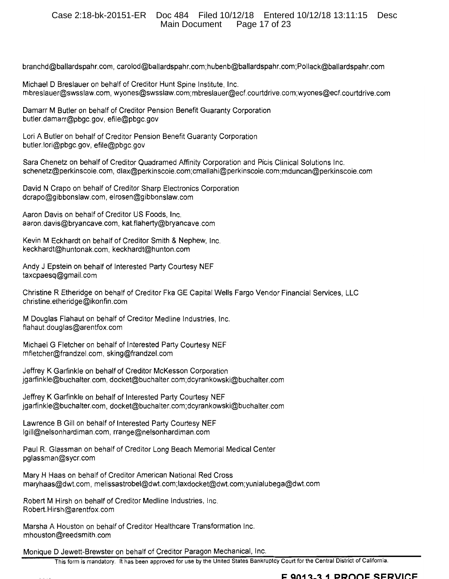### Case 2:18-bk-20151-ER Doc 484 Filed 10/12/18 Entered 10/12/18 13:11:15 Desc Main Document Page 17 of 23

branchd@ballardspahr.com, carolod@ballardspahr.com;hubenb@ballardspahr.com;Pollack@ballardspahr.com

Michael D Breslauer on behalf of Creditor Hunt Spine Institute, Inc. mbreslauer@swsslaw.com, wyones@swsslaw.com;mbreslauer@ecf.courtdrive.com;wyones@ecf.courtdrive.com

Damarr M Butler on behalf of Creditor Pension Benefit Guaranty Corporation butler.damarr@pbgc.gov, efile@pbgc.gov

Lori A Butler on behalf of Creditor Pension Benefit Guaranty Corporation butler.lori@pbgc.gov, efile@pbgc.gov

Sara Chenetz on behalf of Creditor Quadramed Affinity Corporation and Picis Clinical Solutions Inc. schenetz@perkinscoie.com, dlax@perkinscoie.com;cmallahi@perkinscoie.com;mduncan@perkinscoie.com

David N Crapo on behalf of Creditor Sharp Electronics Corporation dcrapo@gibbonslaw.com, elrosen@gibbonslaw.com

Aaron Davis on behalf of Creditor US Foods, Inc. aaron.davis@bryancave.com, kat.flaherty@bryancave.com

Kevin M Eckhardt on behalf of Creditor Smith & Nephew, Inc. keckhardt@huntonak.com, keckhardt@hunton.com

Andy J Epstein on behalf of Interested Party Courtesy NEF taxcpaesq@gmail.com

Christine R Etheridge on behalf of Creditor Fka GE Capital Wells Fargo Vendor Financial Services, LLC christine.etheridge@ikonfin.com

M Douglas Flahaut on behalf of Creditor Medline Industries, Inc. flahaut.douglas@arentfox.com

Michael G Fletcher on behalf of Interested Party Courtesy NEF mfletcher@frandzel.com, sking@frandzel.com

Jeffrey K Garfinkle on behalf of Creditor McKesson Corporation jgarfinkle@buchalter.com, docket@buchalter.com;dcyrankowski@buchalter.com

Jeffrey K Garfinkle on behalf of Interested Party Courtesy NEF jgarfinkle@buchalter.com, docket@buchalter.com;dcyrankowski@buchalter.com

Lawrence B Gill on behalf of Interested Party Courtesy NEF lgill@nelsonhardiman.com, rrange@nelsonhardiman.com

Paul R. Glassman on behalf of Creditor Long Beach Memorial Medical Center pglassman@sycr.com

Mary H Haas on behalf of Creditor American National Red Cross maryhaas@dwt.com, melissastrobel@dwt.com;laxdocket@dwt.com;yunialubega@dwt.com

Robert M Hirsh on behalf of Creditor Medline Industries, Inc. Robert.Hirsh@arentfox.com

Marsha A Houston on behalf of Creditor Healthcare Transformation Inc. mhouston@reedsmith.com

Monique D Jewett-Brewster on behalf of Creditor Paragon Mechanical, Inc.

This form is mandatory. It has been approved for use by the United States Bankruptcy Court for the Central District of California.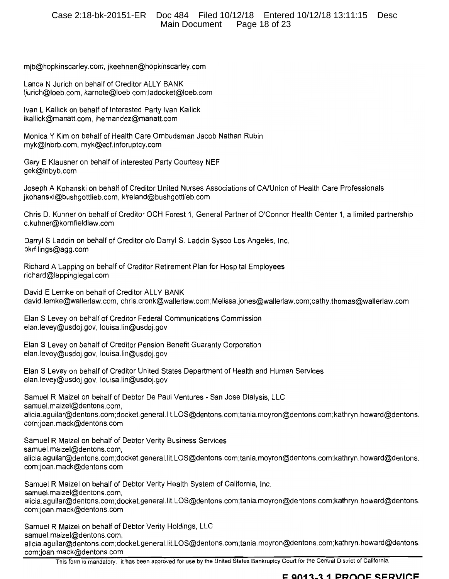mjb@hopkinscarley.com, jkeehnen@hopkinscarley.com

Lance N Jurich on behalf of Creditor ALLY BANK ljurich@loeb.com, karnote@loeb.com;ladocket@loeb.com

Ivan L Kallick on behalf of Interested Party Ivan Kallick ikallick@manatt.com, ihernandez@manatt.com

Monica Y Kim on behalf of Health Care Ombudsman Jacob Nathan Rubin myk@Inbrb.com, myk@ecf.inforuptcy.com

Gary E Klausner on behalf of Interested Party Courtesy NEF gek@Inbyb.com

Joseph A Kohanski on behalf of Creditor United Nurses Associations of CA/Union of Health Care Professionals jkohanski@bushgottlieb.com, kireland@bushgottlieb.com

Chris D. Kuhner on behalf of Creditor OCH Forest 1, General Partner of O'Connor Health Center 1, a limited partnership c.kuhner@kornfieldlaw.com

Darryl S Laddin on behalf of Creditor c/o Darryl S. Laddin Sysco Los Angeles, Inc. bkrfilings@agg.com

Richard A Lapping on behalf of Creditor Retirement Plan for Hospital Employees richard@lappinglegal.com

David E Lemke on behalf of Creditor ALLY BANK david.lemke@wallerlaw.com, chris.cronk@wallerlaw.com;Melissa.jones@wallerlaw.com;cathy.thomas@wallerlaw.com

Elan S Levey on behalf of Creditor Federal Communications Commission elan.levey@usdoj.gov, louisa.lin@usdoj.gov

Elan S Levey on behalf of Creditor Pension Benefit Guaranty Corporation elan.levey@usdoj.gov, louisa.lin@usdoj.gov

Elan S Levey on behalf of Creditor United States Department of Health and Human Services elan.levey@usdoj.gov, louisa.lin@usdoj.gov

Samuel R Maizel on behalf of Debtor De Paul Ventures - San Jose Dialysis, LLC samuel.maizel@dentons.com, alicia.aguilar@dentons.com;docket.general.lit.LOS@dentons.com;tania.moyron@dentons.com;kathryn.howard@dentons. com;joan.mack@dentons.com

Samuel R Maizel on behalf of Debtor Verity Business Services samuel.maizel@dentons.com, alicia.aguilar@dentons.com;docket.general.lit.LOS@dentons.com;tania.moyron@dentons.com;kathryn.howard@dentons. com;joan.mack@dentons.com

Samuel R Maizel on behalf of Debtor Verity Health System of California, Inc. samuel.maizel@dentons.com, alicia.aguilar@dentons.com;docket.general.lit.LOS@dentons.com;tania.moyron@dentons.com;kathryn.howard@dentons. com;joan.mack@dentons.com

Samuel R Maizel on behalf of Debtor Verity Holdings, LLC samuel.maizel@dentons.com, alicia.aguilar@dentons.com;docket.general.lit.LOS@dentons.com;tania.moyron@dentons.com;kathryn.howard@dentons. com;joan.mack@dentons.com

This form is mandatory. It has been approved for use by the United States Bankruptcy Court for the Central District of California.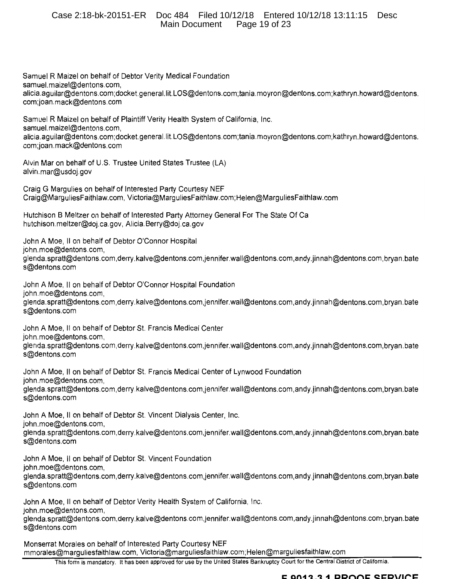### Case 2:18-bk-20151-ER Doc 484 Filed 10/12/18 Entered 10/12/18 13:11:15 Desc Main Document Page 19 of 23

Samuel R Maizel on behalf of Debtor Verity Medical Foundation samuel.maizel@dentons.com, alicia.aguilar@dentons.com;docket.general.lit.LOS@dentons.com;tania.moyron@dentons.com;kathryn.howard@dentons. com;joan.mack@dentons.com Samuel R Maizel on behalf of Plaintiff Verity Health System of California, Inc. samuel.maizel@dentons.com. alicia.aguilar@dentons.com;docket.general.lit.LOS@dentons.com;tania.moyron@dentons.com;kathryn.howard@dentons. com;joan.mack@dentons.com Alvin Mar on behalf of U.S. Trustee United States Trustee (LA) alvin.mar@usdoj.gov Craig G Margulies on behalf of Interested Party Courtesy NEF Craig@MarguliesFaithlaw.com, Victoria@MarguliesFaithlaw.com;Helen@MarguliesFaithlaw.com Hutchison B Meltzer on behalf of Interested Party Attorney General For The State Of Ca hutchison.meltzer@doj.ca.gov, Alicia.Berry@doj.ca.gov John A Moe, II on behalf of Debtor O'Connor Hospital john.moe@dentons.com, glenda.spratt@dentons.com.derry.kalve@dentons.com.jennifer.wall@dentons.com.andy.jinnah@dentons.com.bryan.bate s@dentons.com John A Moe, II on behalf of Debtor O'Connor Hospital Foundation john.moe@dentons.com, glenda.spratt@dentons.com,derry.kalve@dentons.com,jennifer.wall@dentons.com,andy.jinnah@dentons.com,bryan.bate s@dentons.com John A Moe, II on behalf of Debtor St. Francis Medical Center john.moe@dentons.com. glenda.spratt@dentons.com.derry.kalve@dentons.com.jennifer.wall@dentons.com.andy.jinnah@dentons.com.bryan.bate s@dentons.com John A Moe, II on behalf of Debtor St. Francis Medical Center of Lynwood Foundation john.moe@dentons.com. glenda.spratt@dentons.com,derry.kalve@dentons.com,jennifer.wall@dentons.com,andy.jinnah@dentons.com,bryan.bate s@dentons.com John A Moe, II on behalf of Debtor St. Vincent Dialysis Center, Inc. john.moe@dentons.com, glenda.spratt@dentons.com,derry.kalve@dentons.com,jennifer.wall@dentons.com,andy.jinnah@dentons.com,bryan.bate s@dentons.com John A Moe, II on behalf of Debtor St. Vincent Foundation john.moe@dentons.com, glenda.spratt@dentons.com.derry.kalve@dentons.com.jennifer.wall@dentons.com.andy.jinnah@dentons.com.bryan.bate s@dentons.com John A Moe, II on behalf of Debtor Verity Health System of California, Inc.

john.moe@dentons.com.

glenda.spratt@dentons.com,derry.kalve@dentons.com,jennifer.wall@dentons.com,andy.jinnah@dentons.com,bryan.bate s@dentons.com

Monserrat Morales on behalf of Interested Party Courtesy NEF mmorales@marquliesfaithlaw.com, Victoria@marguliesfaithlaw.com;Helen@marguliesfaithlaw.com

This form is mandatory. It has been approved for use by the United States Bankruptcy Court for the Central District of California.

#### E 0013.3.1 DDOOF SERVICE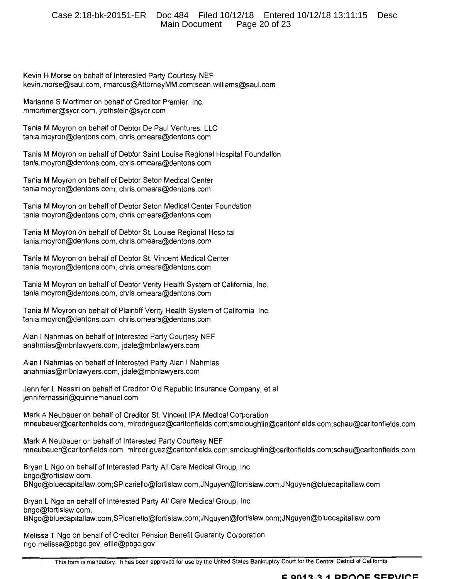### Case 2:18-bk-20151-ER Doc 484 Filed 10/12/18 Entered 10/12/18 13:11:15 Desc Main Document Page 20 of 23

Kevin H Morse on behalf of Interested Party Courtesy NEF kevin.morse@saul.com, rmarcus@AttorneyMM.com;sean.williams@saul.com

Marianne S Mortimer on behalf of Creditor Premier, Inc. mmortimer@sycr.com, jrothstein@sycr.com

Tania M Moyron on behalf of Debtor De Paul Ventures, LLC tania.moyron@dentons.com, chris.omeara@dentons.com

Tania M Moyron on behalf of Debtor Saint Louise Regional Hospital Foundation tania.moyron@dentons.com, chris.omeara@dentons.com

Tania M Moyron on behalf of Debtor Seton Medical Center tania.moyron@dentons.com, chris.omeara@dentons.com

Tania M Moyron on behalf of Debtor Seton Medical Center Foundation tania.moyron@dentons.com, chris.omeara@dentons.com

Tania M Moyron on behalf of Debtor St. Louise Regional Hospital tania.moyron@dentons.com, chris.omeara@dentons.com

Tania M Moyron on behalf of Debtor St. Vincent Medical Center tania.moyron@dentons.com, chris.omeara@dentons.com

Tania M Moyron on behalf of Debtor Verity Health System of California, Inc. tania.moyron@dentons.com, chris.omeara@dentons.com

Tania M Moyron on behalf of Plaintiff Verity Health System of California, Inc. tania.movron@dentons.com, chris.omeara@dentons.com

Alan I Nahmias on behalf of Interested Party Courtesy NEF anahmias@mbnlawyers.com, jdale@mbnlawyers.com

Alan I Nahmias on behalf of Interested Party Alan I Nahmias anahmias@mbnlawyers.com, jdale@mbnlawyers.com

Jennifer L Nassiri on behalf of Creditor Old Republic Insurance Company, et al jennifernassiri@quinnemanuel.com

Mark A Neubauer on behalf of Creditor St. Vincent IPA Medical Corporation mneubauer@carltonfields.com, mlrodriguez@carltonfields.com;smcloughlin@carltonfields.com;schau@carltonfields.com

Mark A Neubauer on behalf of Interested Party Courtesy NEF mneubauer@carltonfields.com, mlrodriguez@carltonfields.com;smcloughlin@carltonfields.com;schau@carltonfields.com

Bryan L Ngo on behalf of Interested Party All Care Medical Group, Inc bngo@fortislaw.com. BNqo@bluecapitallaw.com;SPicariello@fortislaw.com;JNguyen@fortislaw.com;JNguyen@bluecapitallaw.com

Bryan L Ngo on behalf of Interested Party All Care Medical Group, Inc. bngo@fortislaw.com, BNgo@bluecapitallaw.com;SPicariello@fortislaw.com;JNguyen@fortislaw.com;JNguyen@bluecapitallaw.com

Melissa T Ngo on behalf of Creditor Pension Benefit Guaranty Corporation ngo.melissa@pbgc.gov, efile@pbgc.gov

This form is mandatory. It has been approved for use by the United States Bankruptcy Court for the Central District of California.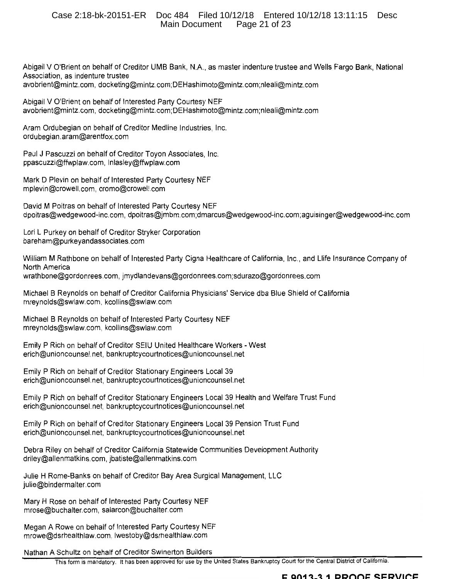#### Case 2:18-bk-20151-ER Doc 484 Filed 10/12/18 Entered 10/12/18 13:11:15 Desc **Main Document** Page 21 of 23

Abigail V O'Brient on behalf of Creditor UMB Bank, N.A., as master indenture trustee and Wells Fargo Bank, National Association, as indenture trustee avobrient@mintz.com, docketing@mintz.com;DEHashimoto@mintz.com;nleali@mintz.com

Abigail V O'Brient on behalf of Interested Party Courtesy NEF avobrient@mintz.com, docketing@mintz.com;DEHashimoto@mintz.com;nleali@mintz.com

Aram Ordubegian on behalf of Creditor Medline Industries, Inc. ordubegian.aram@arentfox.com

Paul J Pascuzzi on behalf of Creditor Toyon Associates, Inc. ppascuzzi@ffwplaw.com, Inlasley@ffwplaw.com

Mark D Plevin on behalf of Interested Party Courtesy NEF mplevin@crowell.com, cromo@crowell.com

David M Poitras on behalf of Interested Party Courtesy NEF dpoitras@wedgewood-inc.com, dpoitras@jmbm.com;dmarcus@wedgewood-inc.com;aguisinger@wedgewood-inc.com

Lori L Purkey on behalf of Creditor Stryker Corporation bareham@purkeyandassociates.com

William M Rathbone on behalf of Interested Party Cigna Healthcare of California, Inc., and Llife Insurance Company of North America wrathbone@gordonrees.com, jmydlandevans@gordonrees.com;sdurazo@gordonrees.com

Michael B Reynolds on behalf of Creditor California Physicians' Service dba Blue Shield of California mreynolds@swlaw.com, kcollins@swlaw.com

Michael B Reynolds on behalf of Interested Party Courtesy NEF mreynolds@swlaw.com, kcollins@swlaw.com

Emily P Rich on behalf of Creditor SEIU United Healthcare Workers - West erich@unioncounsel.net, bankruptcycourtnotices@unioncounsel.net

Emily P Rich on behalf of Creditor Stationary Engineers Local 39 erich@unioncounsel.net, bankruptcycourtnotices@unioncounsel.net

Emily P Rich on behalf of Creditor Stationary Engineers Local 39 Health and Welfare Trust Fund erich@unioncounsel.net, bankruptcycourtnotices@unioncounsel.net

Emily P Rich on behalf of Creditor Stationary Engineers Local 39 Pension Trust Fund erich@unioncounsel.net, bankruptcycourtnotices@unioncounsel.net

Debra Riley on behalf of Creditor California Statewide Communities Development Authority driley@allenmatkins.com, jbatiste@allenmatkins.com

Julie H Rome-Banks on behalf of Creditor Bay Area Surgical Management, LLC julie@bindermalter.com

Mary H Rose on behalf of Interested Party Courtesy NEF mrose@buchalter.com, salarcon@buchalter.com

Megan A Rowe on behalf of Interested Party Courtesy NEF mrowe@dsrhealthlaw.com, lwestoby@dsrhealthlaw.com

Nathan A Schultz on behalf of Creditor Swinerton Builders

This form is mandatory. It has been approved for use by the United States Bankruptcy Court for the Central District of California.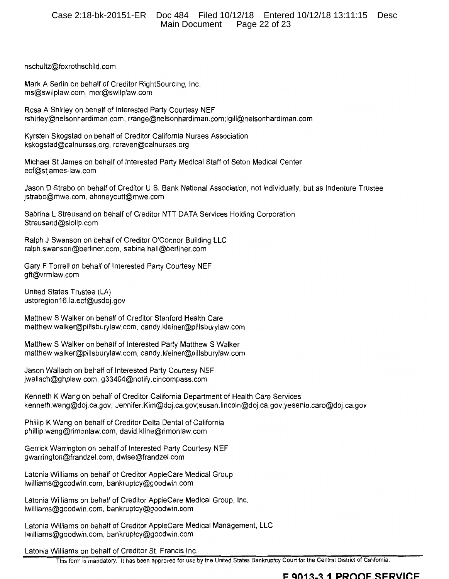#### Case 2:18-bk-20151-ER Doc 484 Filed 10/12/18 Entered 10/12/18 13:11:15 Desc **Main Document** Page 22 of 23

nschultz@foxrothschild.com

Mark A Serlin on behalf of Creditor RightSourcing, Inc. ms@swilplaw.com, mor@swilplaw.com

Rosa A Shirley on behalf of Interested Party Courtesy NEF rshirley@nelsonhardiman.com, rrange@nelsonhardiman.com;lgill@nelsonhardiman.com

Kyrsten Skogstad on behalf of Creditor California Nurses Association kskogstad@calnurses.org, rcraven@calnurses.org

Michael St James on behalf of Interested Party Medical Staff of Seton Medical Center ecf@stjames-law.com

Jason D Strabo on behalf of Creditor U.S. Bank National Association, not individually, but as Indenture Trustee jstrabo@mwe.com, ahoneycutt@mwe.com

Sabrina L Streusand on behalf of Creditor NTT DATA Services Holding Corporation Streusand@slollp.com

Ralph J Swanson on behalf of Creditor O'Connor Building LLC ralph.swanson@berliner.com, sabina.hall@berliner.com

Gary F Torrell on behalf of Interested Party Courtesy NEF gft@vrmlaw.com

United States Trustee (LA) ustpregion16.la.ecf@usdoj.gov

Matthew S Walker on behalf of Creditor Stanford Health Care matthew.walker@pillsburylaw.com, candy.kleiner@pillsburylaw.com

Matthew S Walker on behalf of Interested Party Matthew S Walker matthew.walker@pillsburylaw.com, candy.kleiner@pillsburylaw.com

Jason Wallach on behalf of Interested Party Courtesy NEF jwallach@ghplaw.com, g33404@notify.cincompass.com

Kenneth K Wang on behalf of Creditor California Department of Health Care Services kenneth.wang@doj.ca.gov, Jennifer.Kim@doj.ca.gov;susan.lincoln@doj.ca.gov;yesenia.caro@doj.ca.gov

Phillip K Wang on behalf of Creditor Delta Dental of California phillip.wang@rimonlaw.com, david.kline@rimonlaw.com

Gerrick Warrington on behalf of Interested Party Courtesy NEF gwarrington@frandzel.com, dwise@frandzel.com

Latonia Williams on behalf of Creditor AppleCare Medical Group lwilliams@goodwin.com, bankruptcy@goodwin.com

Latonia Williams on behalf of Creditor AppleCare Medical Group, Inc. lwilliams@goodwin.com, bankruptcy@goodwin.com

Latonia Williams on behalf of Creditor AppleCare Medical Management, LLC lwilliams@goodwin.com, bankruptcy@goodwin.com

Latonia Williams on behalf of Creditor St. Francis Inc.

This form is mandatory. It has been approved for use by the United States Bankruptcy Court for the Central District of California.